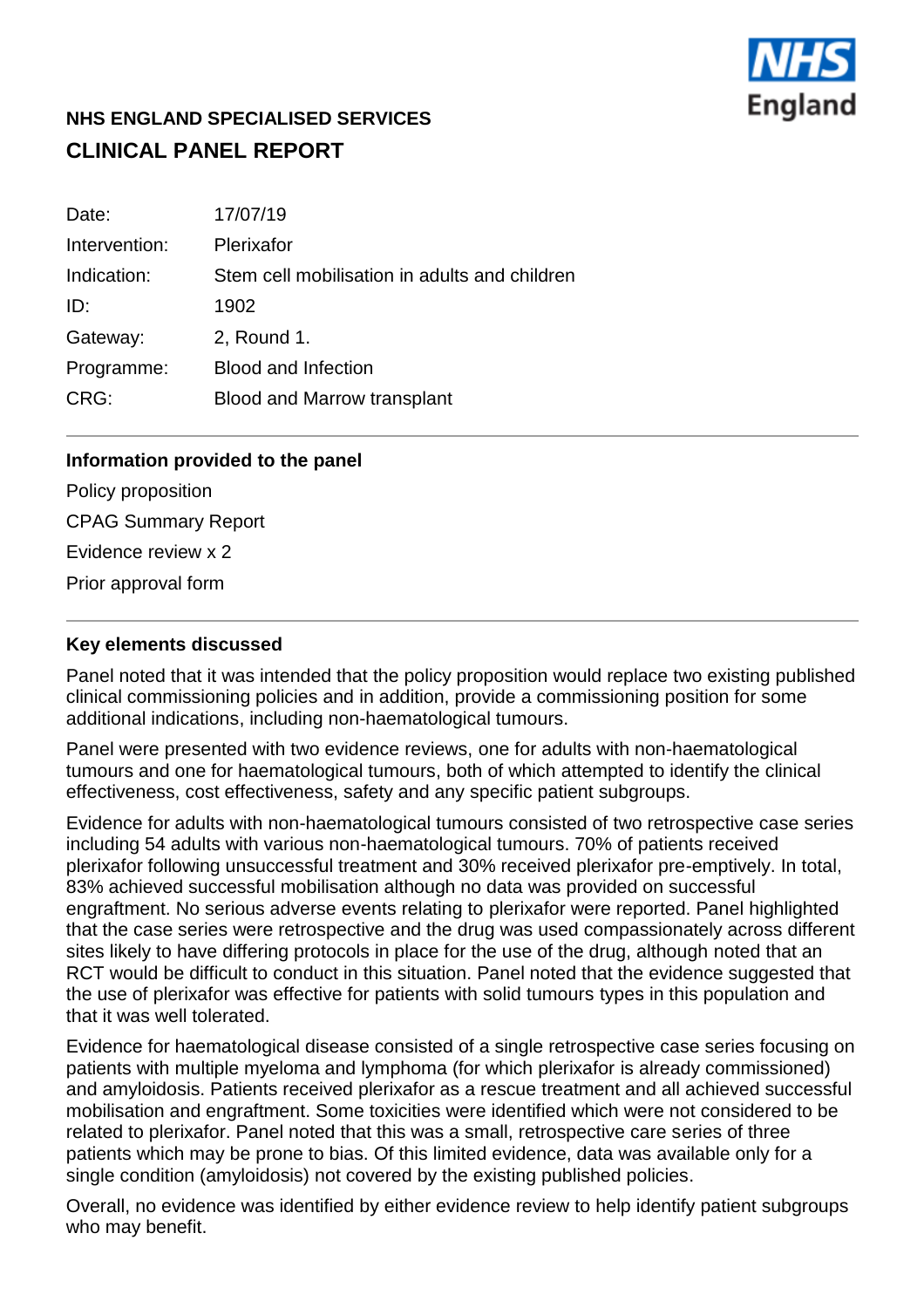

# **NHS ENGLAND SPECIALISED SERVICES CLINICAL PANEL REPORT**

| Date:         | 17/07/19                                      |
|---------------|-----------------------------------------------|
| Intervention: | Plerixafor                                    |
| Indication:   | Stem cell mobilisation in adults and children |
| ID:           | 1902                                          |
| Gateway:      | 2, Round 1.                                   |
| Programme:    | <b>Blood and Infection</b>                    |
| CRG:          | Blood and Marrow transplant                   |

#### **Information provided to the panel**

Policy proposition CPAG Summary Report Evidence review x 2 Prior approval form

## **Key elements discussed**

Panel noted that it was intended that the policy proposition would replace two existing published clinical commissioning policies and in addition, provide a commissioning position for some additional indications, including non-haematological tumours.

Panel were presented with two evidence reviews, one for adults with non-haematological tumours and one for haematological tumours, both of which attempted to identify the clinical effectiveness, cost effectiveness, safety and any specific patient subgroups.

Evidence for adults with non-haematological tumours consisted of two retrospective case series including 54 adults with various non-haematological tumours. 70% of patients received plerixafor following unsuccessful treatment and 30% received plerixafor pre-emptively. In total, 83% achieved successful mobilisation although no data was provided on successful engraftment. No serious adverse events relating to plerixafor were reported. Panel highlighted that the case series were retrospective and the drug was used compassionately across different sites likely to have differing protocols in place for the use of the drug, although noted that an RCT would be difficult to conduct in this situation. Panel noted that the evidence suggested that the use of plerixafor was effective for patients with solid tumours types in this population and that it was well tolerated.

Evidence for haematological disease consisted of a single retrospective case series focusing on patients with multiple myeloma and lymphoma (for which plerixafor is already commissioned) and amyloidosis. Patients received plerixafor as a rescue treatment and all achieved successful mobilisation and engraftment. Some toxicities were identified which were not considered to be related to plerixafor. Panel noted that this was a small, retrospective care series of three patients which may be prone to bias. Of this limited evidence, data was available only for a single condition (amyloidosis) not covered by the existing published policies.

Overall, no evidence was identified by either evidence review to help identify patient subgroups who may benefit.